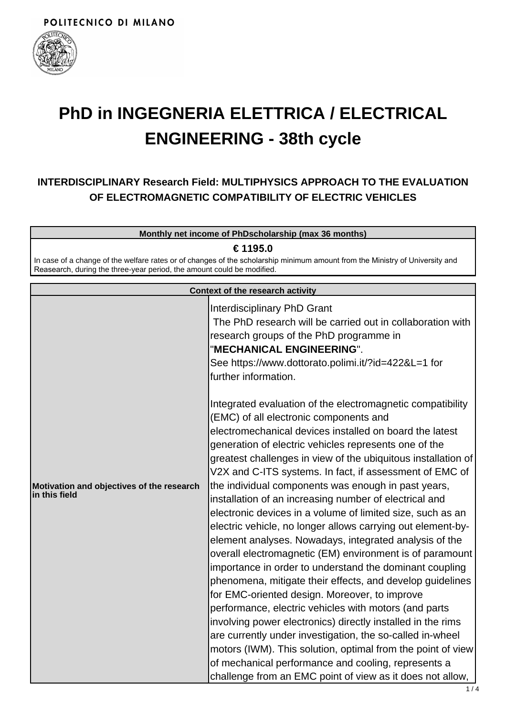

# **PhD in INGEGNERIA ELETTRICA / ELECTRICAL ENGINEERING - 38th cycle**

## **INTERDISCIPLINARY Research Field: MULTIPHYSICS APPROACH TO THE EVALUATION OF ELECTROMAGNETIC COMPATIBILITY OF ELECTRIC VEHICLES**

**Monthly net income of PhDscholarship (max 36 months)**

**€ 1195.0**

In case of a change of the welfare rates or of changes of the scholarship minimum amount from the Ministry of University and Reasearch, during the three-year period, the amount could be modified.

| Interdisciplinary PhD Grant<br>The PhD research will be carried out in collaboration with<br>research groups of the PhD programme in<br>"MECHANICAL ENGINEERING".<br>See https://www.dottorato.polimi.it/?id=422&L=1 for<br>further information.<br>Integrated evaluation of the electromagnetic compatibility<br>(EMC) of all electronic components and<br>electromechanical devices installed on board the latest<br>generation of electric vehicles represents one of the<br>greatest challenges in view of the ubiquitous installation of<br>V2X and C-ITS systems. In fact, if assessment of EMC of<br>the individual components was enough in past years,<br>Motivation and objectives of the research<br>in this field<br>installation of an increasing number of electrical and<br>electronic devices in a volume of limited size, such as an<br>electric vehicle, no longer allows carrying out element-by-<br>element analyses. Nowadays, integrated analysis of the<br>overall electromagnetic (EM) environment is of paramount<br>importance in order to understand the dominant coupling<br>phenomena, mitigate their effects, and develop guidelines<br>for EMC-oriented design. Moreover, to improve<br>performance, electric vehicles with motors (and parts<br>involving power electronics) directly installed in the rims<br>are currently under investigation, the so-called in-wheel<br>motors (IWM). This solution, optimal from the point of view | <b>Context of the research activity</b> |
|-------------------------------------------------------------------------------------------------------------------------------------------------------------------------------------------------------------------------------------------------------------------------------------------------------------------------------------------------------------------------------------------------------------------------------------------------------------------------------------------------------------------------------------------------------------------------------------------------------------------------------------------------------------------------------------------------------------------------------------------------------------------------------------------------------------------------------------------------------------------------------------------------------------------------------------------------------------------------------------------------------------------------------------------------------------------------------------------------------------------------------------------------------------------------------------------------------------------------------------------------------------------------------------------------------------------------------------------------------------------------------------------------------------------------------------------------------------------------|-----------------------------------------|
|                                                                                                                                                                                                                                                                                                                                                                                                                                                                                                                                                                                                                                                                                                                                                                                                                                                                                                                                                                                                                                                                                                                                                                                                                                                                                                                                                                                                                                                                         |                                         |
| of mechanical performance and cooling, represents a                                                                                                                                                                                                                                                                                                                                                                                                                                                                                                                                                                                                                                                                                                                                                                                                                                                                                                                                                                                                                                                                                                                                                                                                                                                                                                                                                                                                                     |                                         |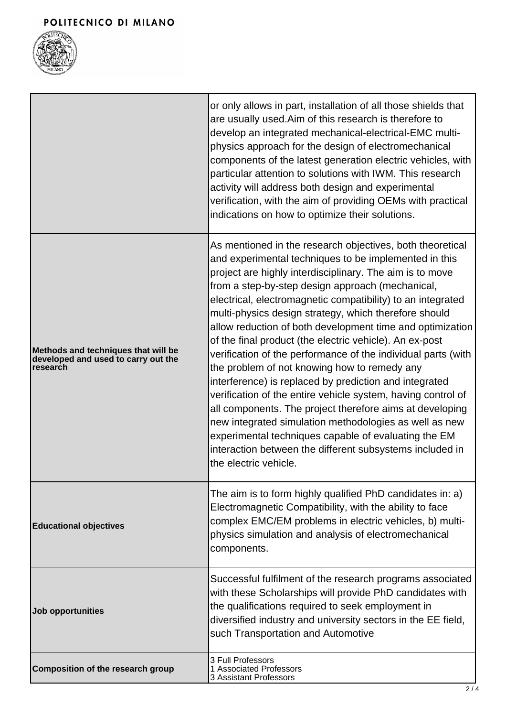

|                                                                                        | or only allows in part, installation of all those shields that<br>are usually used. Aim of this research is therefore to<br>develop an integrated mechanical-electrical-EMC multi-<br>physics approach for the design of electromechanical<br>components of the latest generation electric vehicles, with<br>particular attention to solutions with IWM. This research<br>activity will address both design and experimental<br>verification, with the aim of providing OEMs with practical<br>indications on how to optimize their solutions.                                                                                                                                                                                                                                                                                                                                                                                                                                                   |  |
|----------------------------------------------------------------------------------------|--------------------------------------------------------------------------------------------------------------------------------------------------------------------------------------------------------------------------------------------------------------------------------------------------------------------------------------------------------------------------------------------------------------------------------------------------------------------------------------------------------------------------------------------------------------------------------------------------------------------------------------------------------------------------------------------------------------------------------------------------------------------------------------------------------------------------------------------------------------------------------------------------------------------------------------------------------------------------------------------------|--|
| Methods and techniques that will be<br>developed and used to carry out the<br>research | As mentioned in the research objectives, both theoretical<br>and experimental techniques to be implemented in this<br>project are highly interdisciplinary. The aim is to move<br>from a step-by-step design approach (mechanical,<br>electrical, electromagnetic compatibility) to an integrated<br>multi-physics design strategy, which therefore should<br>allow reduction of both development time and optimization<br>of the final product (the electric vehicle). An ex-post<br>verification of the performance of the individual parts (with<br>the problem of not knowing how to remedy any<br>interference) is replaced by prediction and integrated<br>verification of the entire vehicle system, having control of<br>all components. The project therefore aims at developing<br>new integrated simulation methodologies as well as new<br>experimental techniques capable of evaluating the EM<br>interaction between the different subsystems included in<br>the electric vehicle. |  |
| <b>Educational objectives</b>                                                          | The aim is to form highly qualified PhD candidates in: a)<br>Electromagnetic Compatibility, with the ability to face<br>complex EMC/EM problems in electric vehicles, b) multi-<br>physics simulation and analysis of electromechanical<br>components.                                                                                                                                                                                                                                                                                                                                                                                                                                                                                                                                                                                                                                                                                                                                           |  |
| <b>Job opportunities</b>                                                               | Successful fulfilment of the research programs associated<br>with these Scholarships will provide PhD candidates with<br>the qualifications required to seek employment in<br>diversified industry and university sectors in the EE field,<br>such Transportation and Automotive                                                                                                                                                                                                                                                                                                                                                                                                                                                                                                                                                                                                                                                                                                                 |  |
| <b>Composition of the research group</b>                                               | 3 Full Professors<br>1 Associated Professors<br><b>3 Assistant Professors</b>                                                                                                                                                                                                                                                                                                                                                                                                                                                                                                                                                                                                                                                                                                                                                                                                                                                                                                                    |  |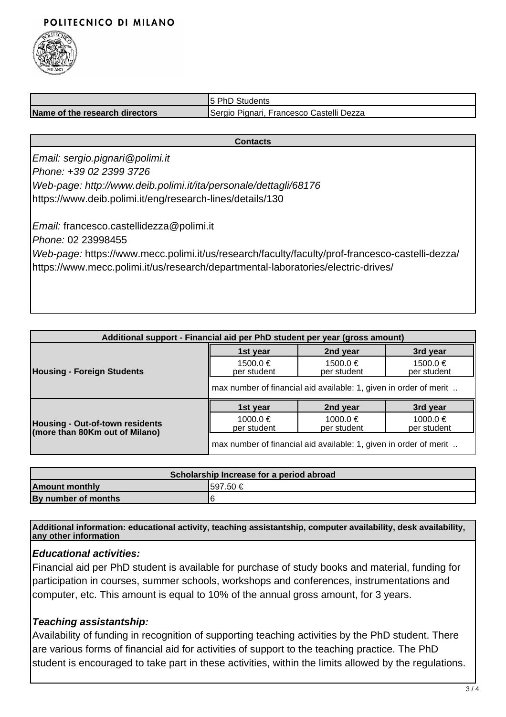## POLITECNICO DI MILANO



|                                | 15 PhD<br>Students                                               |
|--------------------------------|------------------------------------------------------------------|
| Name of the research directors | i, Francesco Castelli Dezza<br>Pianari.<br><i><b>ISergio</b></i> |

#### **Contacts**

Email: sergio.pignari@polimi.it Phone: +39 02 2399 3726 Web-page: http://www.deib.polimi.it/ita/personale/dettagli/68176 https://www.deib.polimi.it/eng/research-lines/details/130

Email: francesco.castellidezza@polimi.it Phone: 02 23998455 Web-page: https://www.mecc.polimi.it/us/research/faculty/faculty/prof-francesco-castelli-dezza/ https://www.mecc.polimi.it/us/research/departmental-laboratories/electric-drives/

| Additional support - Financial aid per PhD student per year (gross amount) |                                                                   |                             |                             |  |
|----------------------------------------------------------------------------|-------------------------------------------------------------------|-----------------------------|-----------------------------|--|
| <b>Housing - Foreign Students</b>                                          | 1st year                                                          | 2nd year                    | 3rd year                    |  |
|                                                                            | $1500.0 \in$<br>per student                                       | 1500.0 €<br>per student     | $1500.0 \in$<br>per student |  |
|                                                                            | max number of financial aid available: 1, given in order of merit |                             |                             |  |
|                                                                            | 1st year                                                          | 2nd year                    | 3rd year                    |  |
| Housing - Out-of-town residents<br>(more than 80Km out of Milano)          | 1000.0 €<br>per student                                           | $1000.0 \in$<br>per student | 1000.0 €<br>per student     |  |
|                                                                            | max number of financial aid available: 1, given in order of merit |                             |                             |  |

| Scholarship Increase for a period abroad |           |  |
|------------------------------------------|-----------|--|
| <b>Amount monthly</b>                    | I597.50 € |  |
| By number of months                      |           |  |

**Additional information: educational activity, teaching assistantship, computer availability, desk availability, any other information**

### **Educational activities:**

Financial aid per PhD student is available for purchase of study books and material, funding for participation in courses, summer schools, workshops and conferences, instrumentations and computer, etc. This amount is equal to 10% of the annual gross amount, for 3 years.

## **Teaching assistantship:**

Availability of funding in recognition of supporting teaching activities by the PhD student. There are various forms of financial aid for activities of support to the teaching practice. The PhD student is encouraged to take part in these activities, within the limits allowed by the regulations.